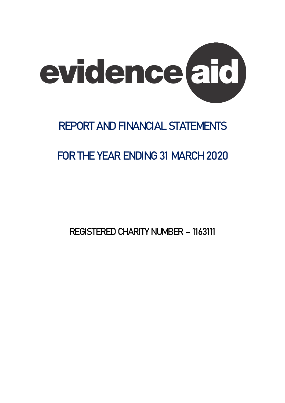

# **REPORT AND FINANCIAL STATEMENTS**

# **FOR THE YEAR ENDING 31 MARCH 2020**

REGISTERED CHARITY NUMBER – 1163111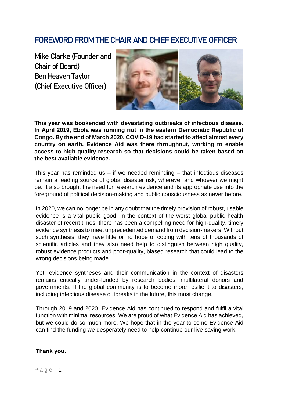# FOREWORD FROM THE CHAIR AND CHIEF EXECUTIVE OFFICER

**Mike Clarke (Founder and Chair of Board) Ben Heaven Taylor (Chief Executive Officer)**



**This year was bookended with devastating outbreaks of infectious disease. In April 2019, Ebola was running riot in the eastern Democratic Republic of Congo. By the end of March 2020, COVID-19 had started to affect almost every country on earth. Evidence Aid was there throughout, working to enable access to high-quality research so that decisions could be taken based on the best available evidence.**

This year has reminded us  $-$  if we needed reminding  $-$  that infectious diseases remain a leading source of global disaster risk, wherever and whoever we might be. It also brought the need for research evidence and its appropriate use into the foreground of political decision-making and public consciousness as never before.

In 2020, we can no longer be in any doubt that the timely provision of robust, usable evidence is a vital public good. In the context of the worst global public health disaster of recent times, there has been a compelling need for high-quality, timely evidence synthesis to meet unprecedented demand from decision-makers. Without such synthesis, they have little or no hope of coping with tens of thousands of scientific articles and they also need help to distinguish between high quality, robust evidence products and poor-quality, biased research that could lead to the wrong decisions being made.

Yet, evidence syntheses and their communication in the context of disasters remains critically under-funded by research bodies, multilateral donors and governments. If the global community is to become more resilient to disasters, including infectious disease outbreaks in the future, this must change.

Through 2019 and 2020, Evidence Aid has continued to respond and fulfil a vital function with minimal resources. We are proud of what Evidence Aid has achieved, but we could do so much more. We hope that in the year to come Evidence Aid can find the funding we desperately need to help continue our live-saving work.

### **Thank you.**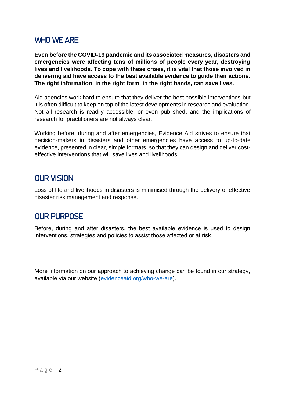# WHO WE ARE

**Even before the COVID-19 pandemic and its associated measures, disasters and emergencies were affecting tens of millions of people every year, destroying lives and livelihoods. To cope with these crises, it is vital that those involved in delivering aid have access to the best available evidence to guide their actions. The right information, in the right form, in the right hands, can save lives.**

Aid agencies work hard to ensure that they deliver the best possible interventions but it is often difficult to keep on top of the latest developments in research and evaluation. Not all research is readily accessible, or even published, and the implications of research for practitioners are not always clear.

Working before, during and after emergencies, Evidence Aid strives to ensure that decision-makers in disasters and other emergencies have access to up-to-date evidence, presented in clear, simple formats, so that they can design and deliver costeffective interventions that will save lives and livelihoods.

# **OUR VISION**

Loss of life and livelihoods in disasters is minimised through the delivery of effective disaster risk management and response.

# **OUR PURPOSE**

Before, during and after disasters, the best available evidence is used to design interventions, strategies and policies to assist those affected or at risk.

More information on our approach to achieving change can be found in our strategy, available via our website [\(evidenceaid.org/who-we-are\)](http://www.evidenceaid.org/who-we-are).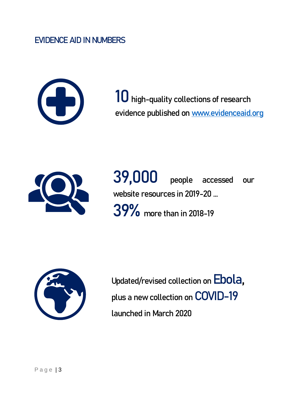# EVIDENCE AID IN NUMBERS



10 high-quality collections of research evidence published on [www.evidenceaid.org](http://www.evidenceaid.org/)



39,000 people accessed our website resources in 2019-20 … 39% more than in 2018-19



Updated/revised collection on Ebola, plus a new collection on COVID-19 launched in March 2020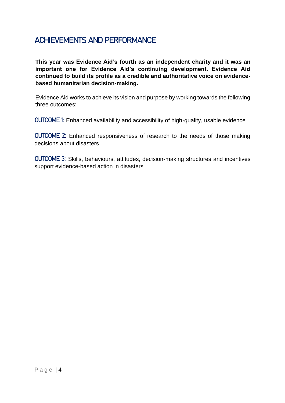# ACHIEVEMENTS AND PERFORMANCE

**This year was Evidence Aid's fourth as an independent charity and it was an important one for Evidence Aid's continuing development. Evidence Aid continued to build its profile as a credible and authoritative voice on evidencebased humanitarian decision-making.** 

Evidence Aid works to achieve its vision and purpose by working towards the following three outcomes:

OUTCOME 1: Enhanced availability and accessibility of high-quality, usable evidence

OUTCOME 2: Enhanced responsiveness of research to the needs of those making decisions about disasters

OUTCOME 3: Skills, behaviours, attitudes, decision-making structures and incentives support evidence-based action in disasters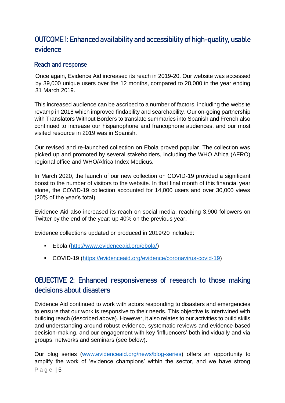# OUTCOME 1: Enhanced availability and accessibility of high-quality, usable evidence

## Reach and response

Once again, Evidence Aid increased its reach in 2019-20. Our website was accessed by 39,000 unique users over the 12 months, compared to 28,000 in the year ending 31 March 2019.

This increased audience can be ascribed to a number of factors, including the website revamp in 2018 which improved findability and searchability. Our on-going partnership with Translators Without Borders to translate summaries into Spanish and French also continued to increase our hispanophone and francophone audiences, and our most visited resource in 2019 was in Spanish.

Our revised and re-launched collection on Ebola proved popular. The collection was picked up and promoted by several stakeholders, including the WHO Africa (AFRO) regional office and WHO/Africa Index Medicus.

In March 2020, the launch of our new collection on COVID-19 provided a significant boost to the number of visitors to the website. In that final month of this financial year alone, the COVID-19 collection accounted for 14,000 users and over 30,000 views (20% of the year's total).

Evidence Aid also increased its reach on social media, reaching 3,900 followers on Twitter by the end of the year: up 40% on the previous year.

Evidence collections updated or produced in 2019/20 included:

- Ebola [\(http://www.evidenceaid.org/ebola/\)](http://www.evidenceaid.org/ebola/)
- COVID-19 [\(https://evidenceaid.org/evidence/coronavirus-covid-19\)](https://evidenceaid.org/evidence/coronavirus-covid-19)

# OBJECTIVE 2: Enhanced responsiveness of research to those making decisions about disasters

Evidence Aid continued to work with actors responding to disasters and emergencies to ensure that our work is responsive to their needs. This objective is intertwined with building reach (described above). However, it also relates to our activities to build skills and understanding around robust evidence, systematic reviews and evidence-based decision-making, and our engagement with key 'influencers' both individually and via groups, networks and seminars (see below).

P a g e | 5 Our blog series [\(www.evidenceaid.org/news/blog-series\)](http://www.evidenceaid.org/news/blog-series) offers an opportunity to amplify the work of 'evidence champions' within the sector, and we have strong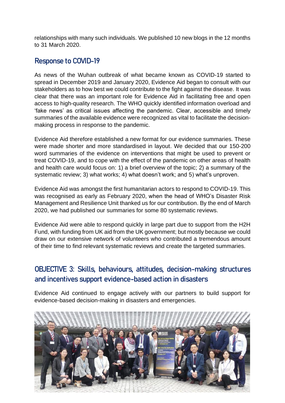relationships with many such individuals. We published 10 new blogs in the 12 months to 31 March 2020.

# Response to COVID-19

As news of the Wuhan outbreak of what became known as COVID-19 started to spread in December 2019 and January 2020, Evidence Aid began to consult with our stakeholders as to how best we could contribute to the fight against the disease. It was clear that there was an important role for Evidence Aid in facilitating free and open access to high-quality research. The WHO quickly identified information overload and 'fake news' as critical issues affecting the pandemic. Clear, accessible and timely summaries of the available evidence were recognized as vital to facilitate the decisionmaking process in response to the pandemic.

Evidence Aid therefore established a new format for our evidence summaries. These were made shorter and more standardised in layout. We decided that our 150-200 word summaries of the evidence on interventions that might be used to prevent or treat COVID-19, and to cope with the effect of the pandemic on other areas of health and health care would focus on: 1) a brief overview of the topic; 2) a summary of the systematic review; 3) what works; 4) what doesn't work; and 5) what's unproven.

Evidence Aid was amongst the first humanitarian actors to respond to COVID-19. This was recognised as early as February 2020, when the head of WHO's Disaster Risk Management and Resilience Unit thanked us for our contribution. By the end of March 2020, we had published our summaries for some 80 systematic reviews.

Evidence Aid were able to respond quickly in large part due to support from the H2H Fund, with funding from UK aid from the UK government; but mostly because we could draw on our extensive network of volunteers who contributed a tremendous amount of their time to find relevant systematic reviews and create the targeted summaries.

# OBJECTIVE 3: Skills, behaviours, attitudes, decision-making structures and incentives support evidence-based action in disasters

Evidence Aid continued to engage actively with our partners to build support for evidence-based decision-making in disasters and emergencies.

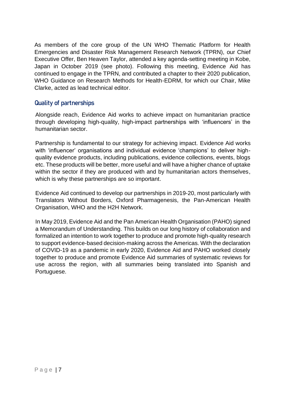As members of the core group of the UN WHO Thematic Platform for Health Emergencies and Disaster Risk Management Research Network (TPRN), our Chief Executive Offer, Ben Heaven Taylor, attended a key agenda-setting meeting in Kobe, Japan in October 2019 (see photo). Following this meeting, Evidence Aid has continued to engage in the TPRN, and contributed a chapter to their 2020 publication, WHO Guidance on Research Methods for Health-EDRM, for which our Chair, Mike Clarke, acted as lead technical editor.

# Quality of partnerships

Alongside reach, Evidence Aid works to achieve impact on humanitarian practice through developing high-quality, high-impact partnerships with 'influencers' in the humanitarian sector.

Partnership is fundamental to our strategy for achieving impact. Evidence Aid works with 'influencer' organisations and individual evidence 'champions' to deliver highquality evidence products, including publications, evidence collections, events, blogs etc. These products will be better, more useful and will have a higher chance of uptake within the sector if they are produced with and by humanitarian actors themselves, which is why these partnerships are so important.

Evidence Aid continued to develop our partnerships in 2019-20, most particularly with Translators Without Borders, Oxford Pharmagenesis, the Pan-American Health Organisation, WHO and the H2H Network.

In May 2019, Evidence Aid and the Pan American Health Organisation (PAHO) signed a Memorandum of Understanding. This builds on our long history of collaboration and formalized an intention to work together to produce and promote high-quality research to support evidence-based decision-making across the Americas. With the declaration of COVID-19 as a pandemic in early 2020, Evidence Aid and PAHO worked closely together to produce and promote Evidence Aid summaries of systematic reviews for use across the region, with all summaries being translated into Spanish and Portuguese.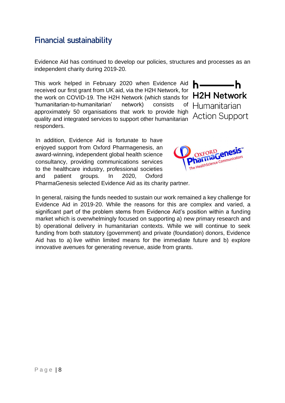# Financial sustainability

Evidence Aid has continued to develop our policies, structures and processes as an independent charity during 2019-20.

This work helped in February 2020 when Evidence Aid h— received our first grant from UK aid, via the H2H Network, for the work on COVID-19. The H2H Network (which stands for H2H Network 'humanitarian-to-humanitarian' network) consists of Humanitarian approximately 50 organisations that work to provide high quality and integrated services to support other humanitarian Action Support responders.





-h

PharmaGenesis selected Evidence Aid as its charity partner.

In general, raising the funds needed to sustain our work remained a key challenge for Evidence Aid in 2019-20. While the reasons for this are complex and varied, a significant part of the problem stems from Evidence Aid's position within a funding market which is overwhelmingly focused on supporting a) new primary research and b) operational delivery in humanitarian contexts. While we will continue to seek funding from both statutory (government) and private (foundation) donors, Evidence Aid has to a) live within limited means for the immediate future and b) explore innovative avenues for generating revenue, aside from grants.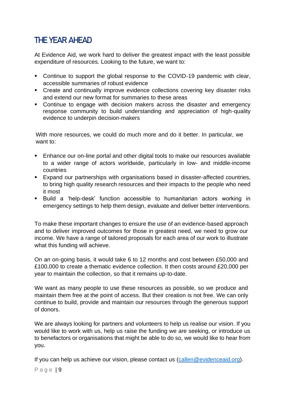# THE YEAR AHEAD

At Evidence Aid, we work hard to deliver the greatest impact with the least possible expenditure of resources. Looking to the future, we want to:

- Continue to support the global response to the COVID-19 pandemic with clear, accessible summaries of robust evidence
- Create and continually improve evidence collections covering key disaster risks and extend our new format for summaries to these areas
- Continue to engage with decision makers across the disaster and emergency response community to build understanding and appreciation of high-quality evidence to underpin decision-makers

With more resources, we could do much more and do it better. In particular, we want to:

- Enhance our on-line portal and other digital tools to make our resources available to a wider range of actors worldwide, particularly in low- and middle-income countries
- Expand our partnerships with organisations based in disaster-affected countries, to bring high quality research resources and their impacts to the people who need it most
- Build a 'help-desk' function accessible to humanitarian actors working in emergency settings to help them design, evaluate and deliver better interventions.

To make these important changes to ensure the use of an evidence-based approach and to deliver improved outcomes for those in greatest need, we need to grow our income. We have a range of tailored proposals for each area of our work to illustrate what this funding will achieve.

On an on-going basis, it would take 6 to 12 months and cost between £50,000 and £100,000 to create a thematic evidence collection. It then costs around £20,000 per year to maintain the collection, so that it remains up-to-date.

We want as many people to use these resources as possible, so we produce and maintain them free at the point of access. But their creation is not free. We can only continue to build, provide and maintain our resources through the generous support of donors.

We are always looking for partners and volunteers to help us realise our vision. If you would like to work with us, help us raise the funding we are seeking, or introduce us to benefactors or organisations that might be able to do so, we would like to hear from you.

If you can help us achieve our vision, please contact us [\(callen@evidenceaid.org\)](mailto:bhtaylor@evidenceaid.org).

Page | 9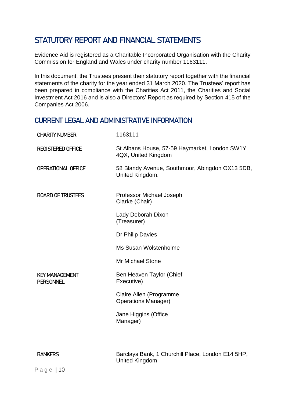# STATUTORY REPORT AND FINANCIAL STATEMENTS

Evidence Aid is registered as a Charitable Incorporated Organisation with the Charity Commission for England and Wales under charity number 1163111.

In this document, the Trustees present their statutory report together with the financial statements of the charity for the year ended 31 March 2020. The Trustees' report has been prepared in compliance with the Charities Act 2011, the Charities and Social Investment Act 2016 and is also a Directors' Report as required by Section 415 of the Companies Act 2006.

# CURRENT LEGAL AND ADMINISTRATIVE INFORMATION

| <b>CHARITY NUMBER</b>                     | 1163111                                                                    |
|-------------------------------------------|----------------------------------------------------------------------------|
| <b>REGISTERED OFFICE</b>                  | St Albans House, 57-59 Haymarket, London SW1Y<br>4QX, United Kingdom       |
| OPERATIONAL OFFICE                        | 58 Blandy Avenue, Southmoor, Abingdon OX13 5DB,<br>United Kingdom.         |
| <b>BOARD OF TRUSTEES</b>                  | Professor Michael Joseph<br>Clarke (Chair)                                 |
|                                           | Lady Deborah Dixon<br>(Treasurer)                                          |
|                                           | Dr Philip Davies                                                           |
|                                           | Ms Susan Wolstenholme                                                      |
|                                           | <b>Mr Michael Stone</b>                                                    |
| <b>KEY MANAGEMENT</b><br><b>PERSONNEL</b> | Ben Heaven Taylor (Chief<br>Executive)                                     |
|                                           | Claire Allen (Programme<br><b>Operations Manager)</b>                      |
|                                           | Jane Higgins (Office<br>Manager)                                           |
|                                           |                                                                            |
| <b>BANKERS</b>                            | Barclays Bank, 1 Churchill Place, London E14 5HP,<br><b>United Kingdom</b> |
| Page $ 10$                                |                                                                            |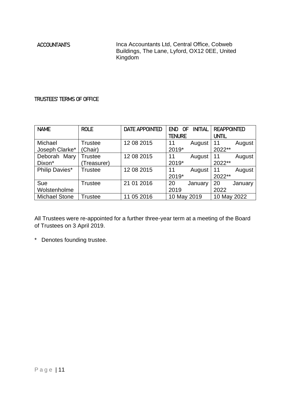ACCOUNTANTS Inca Accountants Ltd, Central Office, Cobweb Buildings, The Lane, Lyford, OX12 0EE, United Kingdom<sup>1</sup>

### TRUSTEES' TERMS OF OFFICE

| <b>NAME</b>          | <b>ROLE</b>    | <b>DATE APPOINTED</b> | <b>INITIAL</b><br><b>END</b><br>0F | <b>REAPPOINTED</b> |
|----------------------|----------------|-----------------------|------------------------------------|--------------------|
|                      |                |                       | <b>TENURE</b>                      | UNTIL              |
| Michael              | <b>Trustee</b> | 12 08 2015            | 11<br>August                       | August<br>11       |
| Joseph Clarke*       | (Chair)        |                       | 2019*                              | 2022**             |
| Mary<br>Deborah      | Trustee        | 12 08 2015            | 11<br>August                       | 11<br>August       |
| Dixon*               | Treasurer)     |                       | 2019*                              | 2022**             |
| Philip Davies*       | Trustee        | 12 08 2015            | 11<br>August                       | 11<br>August       |
|                      |                |                       | 2019*                              | 2022**             |
| Sue                  | <b>Trustee</b> | 21 01 2016            | 20<br>January                      | 20<br>January      |
| Wolstenholme         |                |                       | 2019                               | 2022               |
| <b>Michael Stone</b> | Trustee        | 05 2016               | 10 May 2019                        | 10 May 2022        |

All Trustees were re-appointed for a further three-year term at a meeting of the Board of Trustees on 3 April 2019.

\* Denotes founding trustee.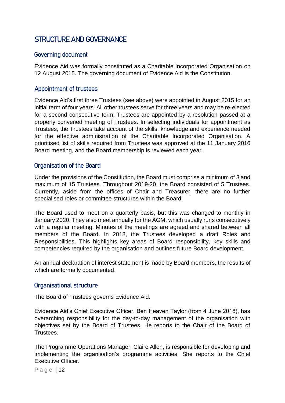# STRUCTURE AND GOVERNANCE

## Governing document

Evidence Aid was formally constituted as a Charitable Incorporated Organisation on 12 August 2015. The governing document of Evidence Aid is the Constitution.

### Appointment of trustees

Evidence Aid's first three Trustees (see above) were appointed in August 2015 for an initial term of four years. All other trustees serve for three years and may be re‐elected for a second consecutive term. Trustees are appointed by a resolution passed at a properly convened meeting of Trustees. In selecting individuals for appointment as Trustees, the Trustees take account of the skills, knowledge and experience needed for the effective administration of the Charitable Incorporated Organisation. A prioritised list of skills required from Trustees was approved at the 11 January 2016 Board meeting, and the Board membership is reviewed each year.

### Organisation of the Board

Under the provisions of the Constitution, the Board must comprise a minimum of 3 and maximum of 15 Trustees. Throughout 2019-20, the Board consisted of 5 Trustees. Currently, aside from the offices of Chair and Treasurer, there are no further specialised roles or committee structures within the Board.

The Board used to meet on a quarterly basis, but this was changed to monthly in January 2020. They also meet annually for the AGM, which usually runs consecutively with a regular meeting. Minutes of the meetings are agreed and shared between all members of the Board. In 2018, the Trustees developed a draft Roles and Responsibilities. This highlights key areas of Board responsibility, key skills and competencies required by the organisation and outlines future Board development.

An annual declaration of interest statement is made by Board members, the results of which are formally documented.

### Organisational structure

The Board of Trustees governs Evidence Aid.

Evidence Aid's Chief Executive Officer, Ben Heaven Taylor (from 4 June 2018), has overarching responsibility for the day-to-day management of the organisation with objectives set by the Board of Trustees. He reports to the Chair of the Board of Trustees.

The Programme Operations Manager, Claire Allen, is responsible for developing and implementing the organisation's programme activities. She reports to the Chief Executive Officer.

Page | 12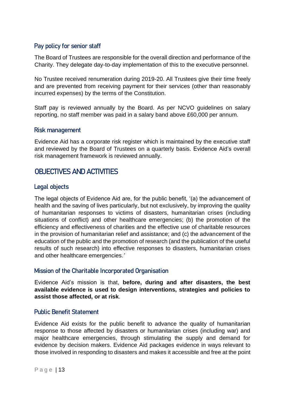## Pay policy for senior staff

The Board of Trustees are responsible for the overall direction and performance of the Charity. They delegate day-to-day implementation of this to the executive personnel.

No Trustee received renumeration during 2019-20. All Trustees give their time freely and are prevented from receiving payment for their services (other than reasonably incurred expenses) by the terms of the Constitution.

Staff pay is reviewed annually by the Board. As per NCVO guidelines on salary reporting, no staff member was paid in a salary band above £60,000 per annum.

### Risk management

Evidence Aid has a corporate risk register which is maintained by the executive staff and reviewed by the Board of Trustees on a quarterly basis. Evidence Aid's overall risk management framework is reviewed annually.

# OBJECTIVES AND ACTIVITIES

## Legal objects

The legal objects of Evidence Aid are, for the public benefit, '(a) the advancement of health and the saving of lives particularly, but not exclusively, by improving the quality of humanitarian responses to victims of disasters, humanitarian crises (including situations of conflict) and other healthcare emergencies; (b) the promotion of the efficiency and effectiveness of charities and the effective use of charitable resources in the provision of humanitarian relief and assistance; and (c) the advancement of the education of the public and the promotion of research (and the publication of the useful results of such research) into effective responses to disasters, humanitarian crises and other healthcare emergencies*.'*

## Mission of the Charitable Incorporated Organisation

Evidence Aid's mission is that, **before, during and after disasters, the best available evidence is used to design interventions, strategies and policies to assist those affected, or at risk**.

## Public Benefit Statement

Evidence Aid exists for the public benefit to advance the quality of humanitarian response to those affected by disasters or humanitarian crises (including war) and major healthcare emergencies, through stimulating the supply and demand for evidence by decision makers. Evidence Aid packages evidence in ways relevant to those involved in responding to disasters and makes it accessible and free at the point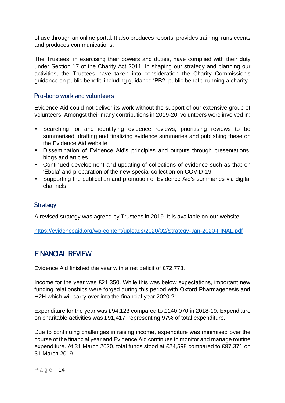of use through an online portal. It also produces reports, provides training, runs events and produces communications.

The Trustees, in exercising their powers and duties, have complied with their duty under Section 17 of the Charity Act 2011. In shaping our strategy and planning our activities, the Trustees have taken into consideration the Charity Commission's guidance on public benefit, including guidance 'PB2: public benefit; running a charity'.

## Pro-bono work and volunteers

Evidence Aid could not deliver its work without the support of our extensive group of volunteers. Amongst their many contributions in 2019-20, volunteers were involved in:

- **EXE** Searching for and identifying evidence reviews, prioritising reviews to be summarised, drafting and finalizing evidence summaries and publishing these on the Evidence Aid website
- Dissemination of Evidence Aid's principles and outputs through presentations, blogs and articles
- Continued development and updating of collections of evidence such as that on 'Ebola' and preparation of the new special collection on COVID-19
- Supporting the publication and promotion of Evidence Aid's summaries via digital channels

## **Strategy**

A revised strategy was agreed by Trustees in 2019. It is available on our website:

<https://evidenceaid.org/wp-content/uploads/2020/02/Strategy-Jan-2020-FINAL.pdf>

# FINANCIAL REVIEW

Evidence Aid finished the year with a net deficit of £72,773.

Income for the year was £21,350. While this was below expectations, important new funding relationships were forged during this period with Oxford Pharmagenesis and H2H which will carry over into the financial year 2020-21.

Expenditure for the year was £94,123 compared to £140,070 in 2018-19. Expenditure on charitable activities was £91,417, representing 97% of total expenditure.

Due to continuing challenges in raising income, expenditure was minimised over the course of the financial year and Evidence Aid continues to monitor and manage routine expenditure. At 31 March 2020, total funds stood at £24,598 compared to £97,371 on 31 March 2019.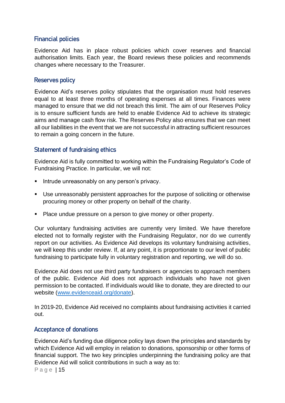# Financial policies

Evidence Aid has in place robust policies which cover reserves and financial authorisation limits. Each year, the Board reviews these policies and recommends changes where necessary to the Treasurer.

# Reserves policy

Evidence Aid's reserves policy stipulates that the organisation must hold reserves equal to at least three months of operating expenses at all times. Finances were managed to ensure that we did not breach this limit. The aim of our Reserves Policy is to ensure sufficient funds are held to enable Evidence Aid to achieve its strategic aims and manage cash flow risk. The Reserves Policy also ensures that we can meet all our liabilities in the event that we are not successful in attracting sufficient resources to remain a going concern in the future.

# Statement of fundraising ethics

Evidence Aid is fully committed to working within the Fundraising Regulator's Code of Fundraising Practice. In particular, we will not:

- **E** Intrude unreasonably on any person's privacy.
- Use unreasonably persistent approaches for the purpose of soliciting or otherwise procuring money or other property on behalf of the charity.
- Place undue pressure on a person to give money or other property.

Our voluntary fundraising activities are currently very limited. We have therefore elected not to formally register with the Fundraising Regulator, nor do we currently report on our activities. As Evidence Aid develops its voluntary fundraising activities, we will keep this under review. If, at any point, it is proportionate to our level of public fundraising to participate fully in voluntary registration and reporting, we will do so.

Evidence Aid does not use third party fundraisers or agencies to approach members of the public. Evidence Aid does not approach individuals who have not given permission to be contacted. If individuals would like to donate, they are directed to our website [\(www.evidenceaid.org/donate\)](http://www.evidenceaid.org/donate).

In 2019-20, Evidence Aid received no complaints about fundraising activities it carried out.

# Acceptance of donations

Evidence Aid's funding due diligence policy lays down the principles and standards by which Evidence Aid will employ in relation to donations, sponsorship or other forms of financial support. The two key principles underpinning the fundraising policy are that Evidence Aid will solicit contributions in such a way as to:

Page | 15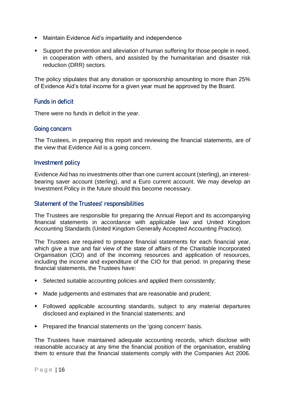- Maintain Evidence Aid's impartiality and independence
- Support the prevention and alleviation of human suffering for those people in need, in cooperation with others, and assisted by the humanitarian and disaster risk reduction (DRR) sectors.

The policy stipulates that any donation or sponsorship amounting to more than 25% of Evidence Aid's total income for a given year must be approved by the Board.

## Funds in deficit

There were no funds in deficit in the year.

## Going concern

The Trustees, in preparing this report and reviewing the financial statements, are of the view that Evidence Aid is a going concern.

### Investment policy

Evidence Aid has no investments other than one current account (sterling), an interestbearing saver account (sterling), and a Euro current account. We may develop an Investment Policy in the future should this become necessary.

## Statement of the Trustees' responsibilities

The Trustees are responsible for preparing the Annual Report and its accompanying financial statements in accordance with applicable law and United Kingdom Accounting Standards (United Kingdom Generally Accepted Accounting Practice).

The Trustees are required to prepare financial statements for each financial year, which give a true and fair view of the state of affairs of the Charitable Incorporated Organisation (CIO) and of the incoming resources and application of resources, including the income and expenditure of the CIO for that period. In preparing these financial statements, the Trustees have:

- Selected suitable accounting policies and applied them consistently;
- Made judgements and estimates that are reasonable and prudent;
- Followed applicable accounting standards, subiect to any material departures disclosed and explained in the financial statements; and
- **Prepared the financial statements on the 'going concern' basis.**

The Trustees have maintained adequate accounting records, which disclose with reasonable accuracy at any time the financial position of the organisation, enabling them to ensure that the financial statements comply with the Companies Act 2006.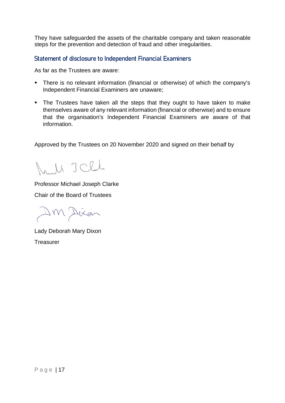They have safeguarded the assets of the charitable company and taken reasonable steps for the prevention and detection of fraud and other irregularities.

Statement of disclosure to Independent Financial Examiners

As far as the Trustees are aware:

- There is no relevant information (financial or otherwise) of which the company's Independent Financial Examiners are unaware;
- The Trustees have taken all the steps that they ought to have taken to make themselves aware of any relevant information (financial or otherwise) and to ensure that the organisation's Independent Financial Examiners are aware of that information.

Approved by the Trustees on 20 November 2020 and signed on their behalf by

rull I Clal

Professor Michael Joseph Clarke Chair of the Board of Trustees

Dm Dien

Lady Deborah Mary Dixon Treasurer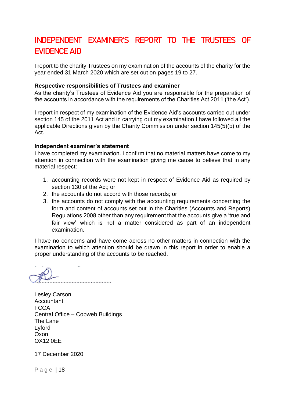# INDEPENDENT EXAMINER'S REPORT TO THE TRUSTEES OF EVIDENCE AID

I report to the charity Trustees on my examination of the accounts of the charity for the year ended 31 March 2020 which are set out on pages 19 to 27.

### **Respective responsibilities of Trustees and examiner**

As the charity's Trustees of Evidence Aid you are responsible for the preparation of the accounts in accordance with the requirements of the Charities Act 2011 ('the Act').

I report in respect of my examination of the Evidence Aid's accounts carried out under section 145 of the 2011 Act and in carrying out my examination I have followed all the applicable Directions given by the Charity Commission under section 145(5)(b) of the Act.

### **Independent examiner's statement**

I have completed my examination. I confirm that no material matters have come to my attention in connection with the examination giving me cause to believe that in any material respect:

- 1. accounting records were not kept in respect of Evidence Aid as required by section 130 of the Act: or
- 2. the accounts do not accord with those records; or
- 3. the accounts do not comply with the accounting requirements concerning the form and content of accounts set out in the Charities (Accounts and Reports) Regulations 2008 other than any requirement that the accounts give a 'true and fair view' which is not a matter considered as part of an independent examination.

I have no concerns and have come across no other matters in connection with the examination to which attention should be drawn in this report in order to enable a proper understanding of the accounts to be reached.

Lesley Carson **Accountant FCCA** Central Office – Cobweb Buildings The Lane Lyford Oxon OX12 0EE

17 December 2020

Page | 18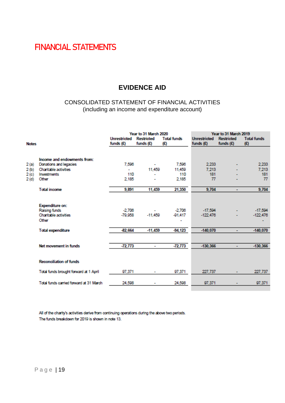# FINANCIAL STATEMENTS

# **EVIDENCE AID**

# CONSOLIDATED STATEMENT OF FINANCIAL ACTIVITIES (including an income and expenditure account)

|              |                                                                                  | Year to 31 March 2020              |                                       |                            | Year to 31 March 2019              |                                  |                           |  |
|--------------|----------------------------------------------------------------------------------|------------------------------------|---------------------------------------|----------------------------|------------------------------------|----------------------------------|---------------------------|--|
| <b>Notes</b> |                                                                                  | <b>Unrestricted</b><br>funds $(E)$ | <b>Restricted</b><br>funds $(E)$      | <b>Total funds</b><br>(E)  | <b>Unrestricted</b><br>funds $(E)$ | <b>Restricted</b><br>funds $(E)$ | <b>Total funds</b><br>(E) |  |
|              |                                                                                  |                                    |                                       |                            |                                    |                                  |                           |  |
|              | Income and endowments from:                                                      |                                    |                                       |                            |                                    |                                  |                           |  |
| 2(a)         | Donations and legacies                                                           | 7,596                              | ۰                                     | 7.506                      | 2.233                              |                                  | 2,233                     |  |
| 2(b)         | <b>Charitable activities</b>                                                     | ٠                                  | 11,459                                | 11,459                     | 7.213                              |                                  | 7.213                     |  |
| 2(c)         | <b>Investments</b>                                                               | 110                                | ۰                                     | 110                        | 181                                |                                  | 181                       |  |
| 2(d)         | Other                                                                            | 2.185                              | ۰                                     | 2,185                      | 77                                 |                                  | 77                        |  |
|              | <b>Total income</b>                                                              | 9,891                              | 11,459                                | 21,350                     | 9,704                              | $\overline{\phantom{a}}$         | 9,704                     |  |
|              | <b>Expenditure on:</b><br>Raising funds<br><b>Charitable activities</b><br>Other | $-2.706$<br>$-79.958$              | $\overline{\phantom{a}}$<br>$-11.450$ | $-2.706$<br>$-91.417$<br>۰ | $-17.594$<br>$-122.476$            |                                  | $-17,504$<br>$-122,476$   |  |
|              | <b>Total expenditure</b>                                                         | $-82.664$                          | $-11,459$                             | $-94,123$                  | $-140,070$                         | ÷                                | $-140,070$                |  |
|              |                                                                                  |                                    |                                       |                            |                                    |                                  |                           |  |
|              | Net movement in funds                                                            | $-72,773$                          | ٠                                     | $-72,773$                  | $-130.366$                         | ٠                                | $-130.366$                |  |
|              | <b>Reconciliation of funds</b>                                                   |                                    |                                       |                            |                                    |                                  |                           |  |
|              | Total funds brought forward at 1 April                                           | 97.371                             | ۰                                     | 97,371                     | 227,737                            |                                  | 227,737                   |  |
|              | Total funds carried forward at 31 March                                          | 24,508                             | ۰                                     | 24,508                     | 97.371                             |                                  | 97,371                    |  |

All of the charity's activities derive from continuing operations during the above two periods. The funds breakdown for 2019 is shown in note 13.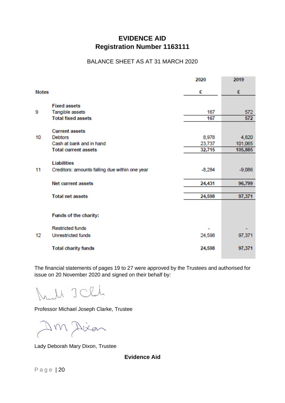# **EVIDENCE AID Registration Number 1163111**

### BALANCE SHEET AS AT 31 MARCH 2020

|              |                                                | 2020     | 2019     |
|--------------|------------------------------------------------|----------|----------|
| <b>Notes</b> |                                                | £        | £        |
|              | <b>Fixed assets</b>                            |          |          |
| 9            | Tangible assets                                | 167      | 572      |
|              | <b>Total fixed assets</b>                      | 167      | 572      |
|              | <b>Current assets</b>                          |          |          |
| 10           | <b>Debtors</b>                                 | 8,978    | 4,820    |
|              | Cash at bank and in hand                       | 23,737   | 101,065  |
|              | <b>Total current assets</b>                    | 32,715   | 105,885  |
|              | Liabilities                                    |          |          |
| 11           | Creditors: amounts falling due within one year | $-8,284$ | $-9,086$ |
|              | <b>Net current assets</b>                      | 24,431   | 96,799   |
|              | <b>Total net assets</b>                        | 24,598   | 97,371   |
|              | Funds of the charity:                          |          |          |
|              | <b>Restricted funds</b>                        | ٠        |          |
| 12           | <b>Unrestricted funds</b>                      | 24,598   | 97,371   |
|              | <b>Total charity funds</b>                     | 24,598   | 97,371   |

The financial statements of pages 19 to 27 were approved by the Trustees and authorised for issue on 20 November 2020 and signed on their behalf by:

 $\lnot$   $\lnot$   $\lnot$  $M$  J

Professor Michael Joseph Clarke, Trustee

Dm Dien

Lady Deborah Mary Dixon, Trustee

**Evidence Aid**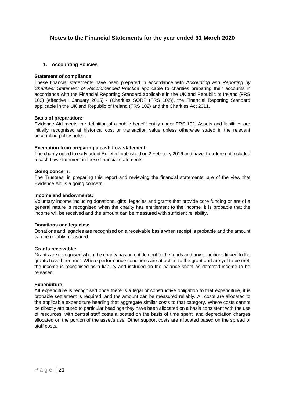### **Notes to the Financial Statements for the year ended 31 March 2020**

### **1. Accounting Policies**

#### **Statement of compliance:**

These financial statements have been prepared in accordance with *Accounting and Reporting by Charities: Statement of Recommended Practice* applicable to charities preparing their accounts in accordance with the Financial Reporting Standard applicable in the UK and Republic of Ireland (FRS 102) (effective I January 2015) - (Charities SORP (FRS 102)), the Financial Reporting Standard applicable in the UK and Republic of Ireland (FRS 102) and the Charities Act 2011.

#### **Basis of preparation:**

Evidence Aid meets the definition of a public benefit entity under FRS 102. Assets and liabilities are initially recognised at historical cost or transaction value unless otherwise stated in the relevant accounting policy notes.

### **Exemption from preparing a cash flow statement:**

The charity opted to early adopt Bulletin I published on 2 February 2016 and have therefore not included a cash flow statement in these financial statements.

### **Going concern:**

The Trustees, in preparing this report and reviewing the financial statements, are of the view that Evidence Aid is a going concern.

#### **Income and endowments:**

Voluntary income including donations, gifts, legacies and grants that provide core funding or are of a general nature is recognised when the charity has entitlement to the income, it is probable that the income will be received and the amount can be measured with sufficient reliability.

#### **Donations and legacies:**

Donations and legacies are recognised on a receivable basis when receipt is probable and the amount can be reliably measured.

#### **Grants receivable:**

Grants are recognised when the charity has an entitlement to the funds and any conditions linked to the grants have been met. Where performance conditions are attached to the grant and are yet to be met, the income is recognised as a liability and included on the balance sheet as deferred income to be released.

#### **Expenditure:**

AII expenditure is recognised once there is a legal or constructive obligation to that expenditure, it is probable settlement is required, and the amount can be measured reliably. All costs are allocated to the applicable expenditure heading that aggregate similar costs to that category. Where costs cannot be directly attributed to particular headings they have been allocated on a basis consistent with the use of resources, with central staff costs allocated on the basis of time spent, and depreciation charges allocated on the portion of the asset's use. Other support costs are allocated based on the spread of staff costs.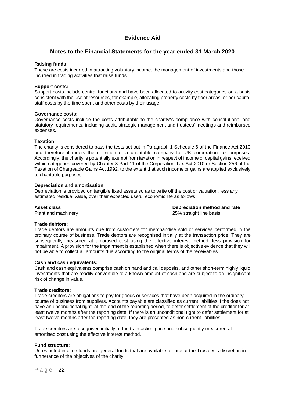### **Notes to the Financial Statements for the year ended 31 March 2020**

### **Raising funds:**

These are costs incurred in attracting voluntary income, the management of investments and those incurred in trading activities that raise funds.

#### **Support costs:**

Support costs include central functions and have been allocated to activity cost categories on a basis consistent with the use of resources, for example, allocating property costs by floor areas, or per capita, staff costs by the time spent and other costs by their usage.

#### **Governance costs:**

Governance costs include the costs attributable to the charity\*s compliance with constitutional and statutory requirements, including audit, strategic management and trustees' meetings and reimbursed expenses.

### **Taxation:**

The charity is considered to pass the tests set out in Paragraph 1 Schedule 6 of the Finance Act 2010 and therefore it meets the definition of a charitable company for UK corporation tax purposes. Accordingly, the charity is potentially exempt from taxation in respect of income or capital gains received within categories covered by Chapter 3 Part 11 of the Corporation Tax Act 2010 or Section 256 of the Taxation of Chargeable Gains Act 1992, to the extent that such income or gains are applied exclusively to charitable purposes.

### **Depreciation and amortisation:**

Depreciation is provided on tangible fixed assets so as to write off the cost or valuation, less any estimated residual value, over their expected useful economic life as follows:

**Asset class**<br> **Asset class**<br> **Depreciation method and rate**<br> **Depreciation method and rate**<br> **Depreciation method and rate**<br>
25% straight line basis 25% straight line basis

### **Trade debtors:**

Trade debtors are amounts due from customers for merchandise sold or services performed in the ordinary course of business. Trade debtors are recognised initially at the transaction price. They are subsequently measured at amortised cost using the effective interest method, less provision for impairment. A provision for the impairment is established when there is objective evidence that they will not be able to collect all amounts due according to the original terms of the receivables.

#### **Cash and cash equivalents:**

Cash and cash equivalents comprise cash on hand and call deposits, and other short-term highly liquid investments that are readily convertible to a known amount of cash and are subject to an insignificant risk of change in value.

#### **Trade creditors:**

Trade creditors are obligations to pay for goods or services that have been acquired in the ordinary course of business from suppliers. Accounts payable are classified as current liabilities if the does not have an unconditional right, at the end of the reporting period, to defer settlement of the creditor for at least twelve months after the reporting date. If there is an unconditional right to defer settlement for at least twelve months after the reporting date, they are presented as non-current liabilities.

Trade creditors are recognised initially at the transaction price and subsequently measured at amortised cost using the effective interest method.

#### **Fund structure:**

Unrestricted income funds are general funds that are available for use at the Trustees's discretion in furtherance of the objectives of the charity.

Page | 22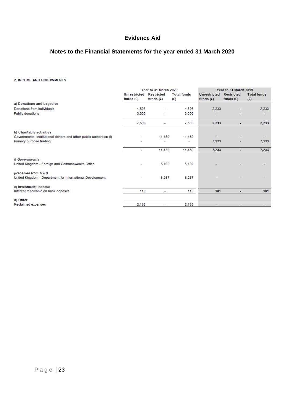# **Notes to the Financial Statements for the year ended 31 March 2020**

### 2. INCOME AND ENDOWMENTS

|                                                                    | Year to 31 March 2020 |                   | Year to 31 March 2019 |                     |                   |                    |
|--------------------------------------------------------------------|-----------------------|-------------------|-----------------------|---------------------|-------------------|--------------------|
|                                                                    | <b>Unrestricted</b>   | <b>Restricted</b> | <b>Total funds</b>    | <b>Unrestricted</b> | <b>Restricted</b> | <b>Total funds</b> |
|                                                                    | funds $(E)$           | funds $(E)$       | (£)                   | funds $(E)$         | funds $(E)$       | (E)                |
| a) Donations and Legacies                                          |                       |                   |                       |                     |                   |                    |
| Donations from individuals                                         | 4,596                 |                   | 4,596                 | 2,233               |                   | 2,233              |
| <b>Public donations</b>                                            | 3,000                 |                   | 3,000                 |                     |                   |                    |
|                                                                    |                       |                   |                       |                     |                   |                    |
|                                                                    | 7,596                 | ۰                 | 7,596                 | 2,233               | $\sim$            | 2,233              |
|                                                                    |                       |                   |                       |                     |                   |                    |
| b) Charitable activities                                           |                       |                   |                       |                     |                   |                    |
| Governments, institutional donors and other public authorities (i) |                       | 11,459            | 11,459                |                     |                   |                    |
| Primary purpose trading                                            |                       |                   |                       | 7,233               |                   | 7,233              |
|                                                                    |                       | 11,459            | 11,459                | 7,233               |                   |                    |
|                                                                    |                       |                   |                       |                     | ÷                 | 7,233              |
| i) Governments                                                     |                       |                   |                       |                     |                   |                    |
| United Kingdom - Foreign and Commonwealth Office                   |                       | 5,192             | 5,192                 |                     |                   |                    |
|                                                                    |                       |                   |                       |                     |                   |                    |
| (Received from H2H)                                                |                       |                   |                       |                     |                   |                    |
| United Kingdom - Department for International Development          |                       | 6,267             | 6,267                 |                     |                   |                    |
|                                                                    |                       |                   |                       |                     |                   |                    |
| c) Investment income                                               |                       |                   |                       |                     |                   |                    |
| Interest receivable on bank deposits                               | 110                   | ٠                 | 110                   | 181                 | $\sim$            | 181                |
|                                                                    |                       |                   |                       |                     |                   |                    |
| d) Other                                                           |                       |                   |                       |                     |                   |                    |
| Reclaimed expenses                                                 | 2,185                 | ٠                 | 2,185                 | ٠                   | ۰                 |                    |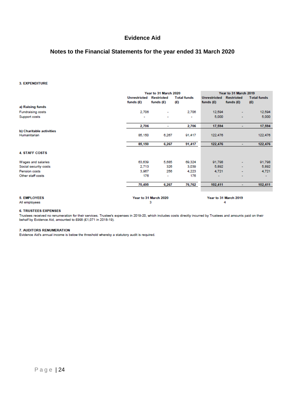## **Notes to the Financial Statements for the year ended 31 March 2020**

#### 3. EXPENDITURE

|                                          |                                    | Year to 31 March 2020            |                           |                                    | Year to 31 March 2019            |                           |  |
|------------------------------------------|------------------------------------|----------------------------------|---------------------------|------------------------------------|----------------------------------|---------------------------|--|
|                                          | <b>Unrestricted</b><br>funds $(E)$ | <b>Restricted</b><br>funds $(E)$ | <b>Total funds</b><br>(£) | <b>Unrestricted</b><br>funds $(E)$ | <b>Restricted</b><br>funds $(E)$ | <b>Total funds</b><br>(E) |  |
| a) Raising funds                         |                                    |                                  |                           |                                    |                                  |                           |  |
| <b>Fundraising costs</b>                 | 2,706                              | ۰                                | 2,706                     | 12,594                             | ۰                                | 12,594                    |  |
| Support costs                            |                                    | ٠                                | ۰                         | 5,000                              | ÷                                | 5,000                     |  |
|                                          | 2,706                              | ٠                                | 2,706                     | 17,594                             | ۰                                | 17,594                    |  |
| b) Charitable activities<br>Humanitarian | 85,150                             | 6,267                            | 91,417                    | 122,476                            |                                  | 122,476                   |  |
|                                          | 85,150                             | 6,267                            | 91,417                    | 122,476                            | ÷                                | 122,476                   |  |
| <b>4. STAFF COSTS</b>                    |                                    |                                  |                           |                                    |                                  |                           |  |
| Wages and salaries                       | 63,639                             | 5,685                            | 69,324                    | 91,798                             | ÷                                | 91,798                    |  |
| Social security costs                    | 2,713                              | 326                              | 3,039                     | 5,892                              | ÷                                | 5,892                     |  |
| Pension costs                            | 3,967                              | 256                              | 4,223                     | 4,721                              |                                  | 4,721                     |  |
| Other staff costs                        | 176                                | ۰                                | 176                       | ٠                                  | ۰                                |                           |  |
|                                          | 70,495                             | 6,267                            | 76,762                    | 102,411                            | ٠                                | 102,411                   |  |
| <b>5. EMPLOYEES</b>                      |                                    | Year to 31 March 2020<br>3       |                           |                                    | Year to 31 March 2019<br>4       |                           |  |
| All employees                            |                                    |                                  |                           |                                    |                                  |                           |  |

#### **6. TRUSTEES EXPENSES**

Trustees received no renumeration for their services. Trustee's expenses in 2019-20, which includes costs directly incurred by Trustees and amounts paid on their behalf by Evidence Aid, amounted to £998 (£1,071 in 2018-19).

#### 7. AUDITORS RENUMERATION

Evidence Aid's annual income is below the threshold whereby a statutory audit is required.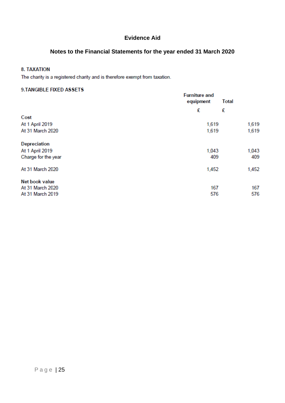# **Notes to the Financial Statements for the year ended 31 March 2020**

### **8. TAXATION**

The charity is a registered charity and is therefore exempt from taxation.

### 9.TANGIBLE FIXED ASSETS

| <b>Furniture and</b><br>equipment |   |                                                                       |  |
|-----------------------------------|---|-----------------------------------------------------------------------|--|
| £                                 | £ |                                                                       |  |
|                                   |   |                                                                       |  |
|                                   |   | 1,619                                                                 |  |
|                                   |   | 1,619                                                                 |  |
|                                   |   |                                                                       |  |
|                                   |   | 1,043                                                                 |  |
|                                   |   | 409                                                                   |  |
|                                   |   | 1,452                                                                 |  |
|                                   |   |                                                                       |  |
|                                   |   | 167                                                                   |  |
|                                   |   | 576                                                                   |  |
|                                   |   | <b>Total</b><br>1,619<br>1,619<br>1,043<br>409<br>1,452<br>167<br>576 |  |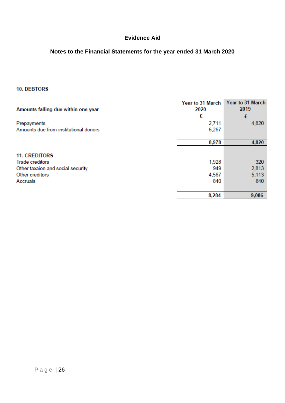# **Notes to the Financial Statements for the year ended 31 March 2020**

### 10. DEBTORS

| Amounts falling due within one year   | Year to 31 March<br>2020 | Year to 31 March<br>2019 |  |
|---------------------------------------|--------------------------|--------------------------|--|
|                                       | £                        | £                        |  |
| Prepayments                           | 2,711                    | 4,820                    |  |
| Amounts due from institutional donors | 6,267                    |                          |  |
|                                       |                          |                          |  |
|                                       | 8,978                    | 4,820                    |  |
| <b>11. CREDITORS</b>                  |                          |                          |  |
| <b>Trade creditors</b>                | 1,928                    | 320                      |  |
| Other taxaion and social security     | 949                      | 2,813                    |  |
| Other creditors                       | 4,567                    | 5,113                    |  |
| Accruals                              | 840                      | 840                      |  |
|                                       |                          |                          |  |
|                                       | 8,284                    | 9,086                    |  |